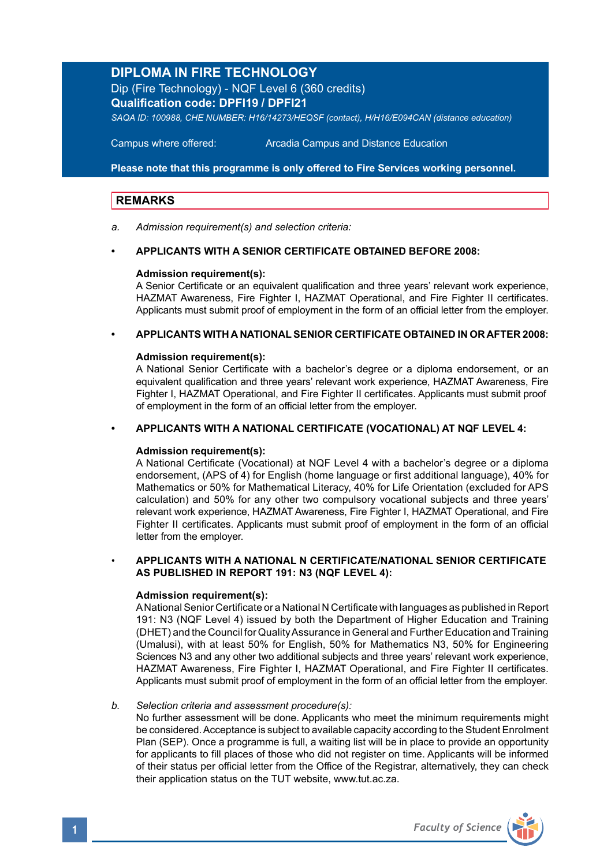# **DIPLOMA IN FIRE TECHNOLOGY**

Dip (Fire Technology) - NQF Level 6 (360 credits) **Qualification code: DPFI19 / DPFI21** *SAQA ID: 100988, CHE NUMBER: H16/14273/HEQSF (contact), H/H16/E094CAN (distance education)*

**Campus where offered:** 

Arcadia Campus and Distance Education

**Please note that this programme is only offered to Fire Services working personnel.** 

# **REMARKS**

*a. Admission requirement(s) and selection criteria:* 

### **• APPLICANTS WITH A SENIOR CERTIFICATE OBTAINED BEFORE 2008:**

### **Admission requirement(s):**

A Senior Certificate or an equivalent qualification and three years' relevant work experience, HAZMAT Awareness, Fire Fighter I, HAZMAT Operational, and Fire Fighter II certificates. Applicants must submit proof of employment in the form of an official letter from the employer.

### **• APPLICANTS WITH A NATIONAL SENIOR CERTIFICATE OBTAINED IN OR AFTER 2008:**

### **Admission requirement(s):**

A National Senior Certificate with a bachelor's degree or a diploma endorsement, or an equivalent qualification and three years' relevant work experience, HAZMAT Awareness, Fire Fighter I, HAZMAT Operational, and Fire Fighter II certificates. Applicants must submit proof of employment in the form of an official letter from the employer.

### **• APPLICANTS WITH A NATIONAL CERTIFICATE (VOCATIONAL) AT NQF LEVEL 4:**

### **Admission requirement(s):**

A National Certificate (Vocational) at NQF Level 4 with a bachelor's degree or a diploma endorsement, (APS of 4) for English (home language or first additional language), 40% for Mathematics or 50% for Mathematical Literacy, 40% for Life Orientation (excluded for APS calculation) and 50% for any other two compulsory vocational subjects and three years' relevant work experience, HAZMAT Awareness, Fire Fighter I, HAZMAT Operational, and Fire Fighter II certificates. Applicants must submit proof of employment in the form of an official letter from the employer.

## • **APPLICANTS WITH A NATIONAL N CERTIFICATE/NATIONAL SENIOR CERTIFICATE AS PUBLISHED IN REPORT 191: N3 (NQF LEVEL 4):**

### **Admission requirement(s):**

A National Senior Certificate or a National N Certificate with languages as published in Report 191: N3 (NQF Level 4) issued by both the Department of Higher Education and Training (DHET) and the Council for Quality Assurance in General and Further Education and Training (Umalusi), with at least 50% for English, 50% for Mathematics N3, 50% for Engineering Sciences N3 and any other two additional subjects and three years' relevant work experience, HAZMAT Awareness, Fire Fighter I, HAZMAT Operational, and Fire Fighter II certificates. Applicants must submit proof of employment in the form of an official letter from the employer.

### *b. Selection criteria and assessment procedure(s):*

No further assessment will be done. Applicants who meet the minimum requirements might be considered. Acceptance is subject to available capacity according to the Student Enrolment Plan (SEP). Once a programme is full, a waiting list will be in place to provide an opportunity for applicants to fill places of those who did not register on time. Applicants will be informed of their status per official letter from the Office of the Registrar, alternatively, they can check their application status on the TUT website, www.tut.ac.za.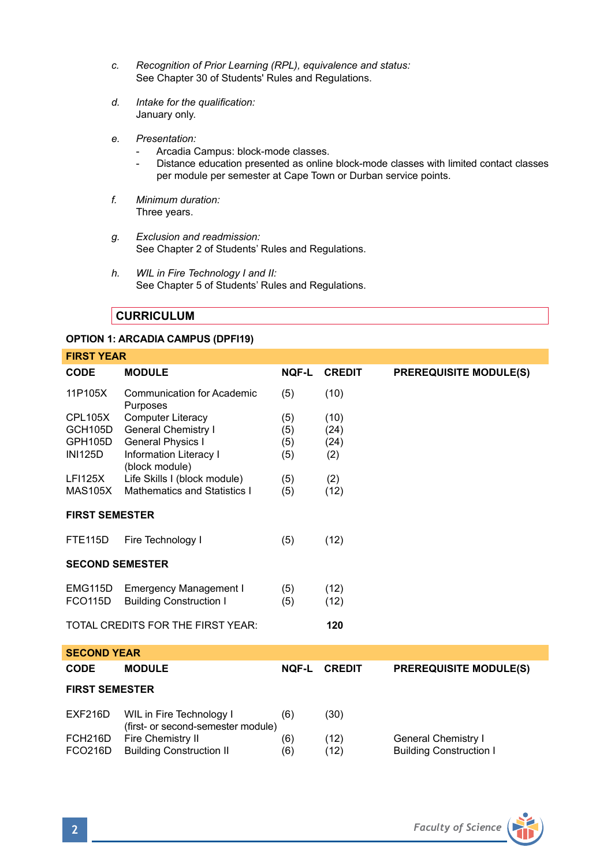- *c. Recognition of Prior Learning (RPL), equivalence and status:* See Chapter 30 of Students' Rules and Regulations.
- *d. Intake for the qualification:* January only.
- *e. Presentation:*
	- Arcadia Campus: block-mode classes.
	- Distance education presented as online block-mode classes with limited contact classes per module per semester at Cape Town or Durban service points.
- *f. Minimum duration:* Three years.
- *g. Exclusion and readmission:* See Chapter 2 of Students' Rules and Regulations.
- *h. WIL in Fire Technology I and II:* See Chapter 5 of Students' Rules and Regulations.

# **CURRICULUM**

# **OPTION 1: ARCADIA CAMPUS (DPFI19)**

| <b>FIRST YEAR</b>                        |                                                                |              |               |                                |  |  |  |
|------------------------------------------|----------------------------------------------------------------|--------------|---------------|--------------------------------|--|--|--|
| CODE                                     | <b>MODULE</b>                                                  | <b>NOF-L</b> | <b>CREDIT</b> | <b>PREREQUISITE MODULE(S)</b>  |  |  |  |
| 11P105X                                  | <b>Communication for Academic</b><br>Purposes                  | (5)          | (10)          |                                |  |  |  |
| <b>CPL105X</b>                           | <b>Computer Literacy</b>                                       | (5)          | (10)          |                                |  |  |  |
| GCH105D                                  | General Chemistry I                                            | (5)          | (24)          |                                |  |  |  |
| GPH105D                                  | General Physics I                                              | (5)          | (24)          |                                |  |  |  |
| <b>INI125D</b>                           | Information Literacy I<br>(block module)                       | (5)          | (2)           |                                |  |  |  |
| <b>LFI125X</b>                           | Life Skills I (block module)                                   | (5)          | (2)           |                                |  |  |  |
| <b>MAS105X</b>                           | Mathematics and Statistics I                                   | (5)          | (12)          |                                |  |  |  |
|                                          | <b>FIRST SEMESTER</b>                                          |              |               |                                |  |  |  |
| <b>FTE115D</b>                           | Fire Technology I                                              | (5)          | (12)          |                                |  |  |  |
| <b>SECOND SEMESTER</b>                   |                                                                |              |               |                                |  |  |  |
| EMG115D                                  | <b>Emergency Management I</b>                                  | (5)          | (12)          |                                |  |  |  |
| <b>FCO115D</b>                           | <b>Building Construction I</b>                                 | (5)          | (12)          |                                |  |  |  |
| TOTAL CREDITS FOR THE FIRST YEAR:<br>120 |                                                                |              |               |                                |  |  |  |
| <b>SECOND YEAR</b>                       |                                                                |              |               |                                |  |  |  |
| <b>CODE</b>                              | <b>MODULE</b>                                                  | <b>NOF-L</b> | <b>CREDIT</b> | <b>PREREQUISITE MODULE(S)</b>  |  |  |  |
| <b>FIRST SEMESTER</b>                    |                                                                |              |               |                                |  |  |  |
| EXF216D                                  | WIL in Fire Technology I<br>(first- or second-semester module) | (6)          | (30)          |                                |  |  |  |
| FCH216D                                  | Fire Chemistry II                                              | (6)          | (12)          | General Chemistry I            |  |  |  |
| <b>FCO216D</b>                           | <b>Building Construction II</b>                                | (6)          | (12)          | <b>Building Construction I</b> |  |  |  |
|                                          |                                                                |              |               |                                |  |  |  |

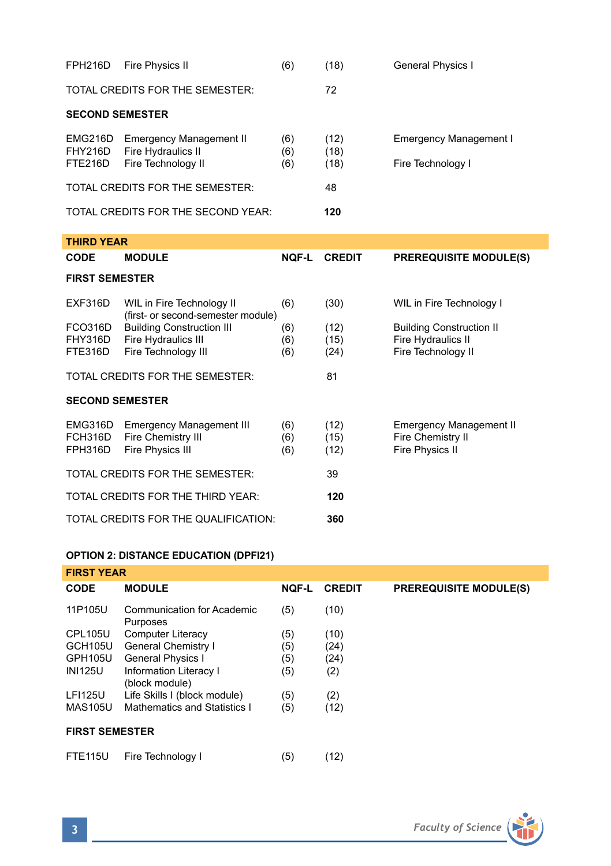| FPH216D                                     | <b>Fire Physics II</b>                                                                              | (6)               | (18)                 | General Physics I                                                      |  |
|---------------------------------------------|-----------------------------------------------------------------------------------------------------|-------------------|----------------------|------------------------------------------------------------------------|--|
|                                             | TOTAL CREDITS FOR THE SEMESTER:                                                                     |                   | 72                   |                                                                        |  |
| <b>SECOND SEMESTER</b>                      |                                                                                                     |                   |                      |                                                                        |  |
| EMG216D<br><b>FHY216D</b><br><b>FTE216D</b> | <b>Emergency Management II</b><br>Fire Hydraulics II<br>Fire Technology II                          | (6)<br>(6)<br>(6) | (12)<br>(18)<br>(18) | <b>Emergency Management I</b><br>Fire Technology I                     |  |
|                                             | TOTAL CREDITS FOR THE SEMESTER:                                                                     |                   | 48                   |                                                                        |  |
|                                             | TOTAL CREDITS FOR THE SECOND YEAR:                                                                  |                   | 120                  |                                                                        |  |
| <b>THIRD YEAR</b>                           |                                                                                                     |                   |                      |                                                                        |  |
| <b>CODE</b>                                 | <b>MODULE</b>                                                                                       | <b>NOF-L</b>      | <b>CREDIT</b>        | <b>PREREQUISITE MODULE(S)</b>                                          |  |
| <b>FIRST SEMESTER</b>                       |                                                                                                     |                   |                      |                                                                        |  |
| EXF316D<br><b>FCO316D</b>                   | WIL in Fire Technology II<br>(first- or second-semester module)<br><b>Building Construction III</b> | (6)<br>(6)        | (30)<br>(12)         | WIL in Fire Technology I<br><b>Building Construction II</b>            |  |
| FHY316D<br>FTE316D                          | Fire Hydraulics III<br>Fire Technology III                                                          | (6)<br>(6)        | (15)<br>(24)         | Fire Hydraulics II<br>Fire Technology II                               |  |
|                                             | TOTAL CREDITS FOR THE SEMESTER:                                                                     |                   | 81                   |                                                                        |  |
| <b>SECOND SEMESTER</b>                      |                                                                                                     |                   |                      |                                                                        |  |
| EMG316D<br>FCH316D<br>FPH316D               | <b>Emergency Management III</b><br>Fire Chemistry III<br>Fire Physics III                           | (6)<br>(6)<br>(6) | (12)<br>(15)<br>(12) | <b>Emergency Management II</b><br>Fire Chemistry II<br>Fire Physics II |  |
| TOTAL CREDITS FOR THE SEMESTER:<br>39       |                                                                                                     |                   |                      |                                                                        |  |
| TOTAL CREDITS FOR THE THIRD YEAR:<br>120    |                                                                                                     |                   |                      |                                                                        |  |
| TOTAL CREDITS FOR THE QUALIFICATION:<br>360 |                                                                                                     |                   |                      |                                                                        |  |

# **OPTION 2: DISTANCE EDUCATION (DPFI21)**

| <b>FIRST YEAR</b>     |                                          |              |               |                               |  |
|-----------------------|------------------------------------------|--------------|---------------|-------------------------------|--|
| <b>CODE</b>           | <b>MODULE</b>                            | <b>NOF-L</b> | <b>CREDIT</b> | <b>PREREQUISITE MODULE(S)</b> |  |
| 11P105U               | Communication for Academic<br>Purposes   | (5)          | (10)          |                               |  |
| <b>CPL105U</b>        | Computer Literacy                        | (5)          | (10)          |                               |  |
| <b>GCH105U</b>        | General Chemistry I                      | (5)          | (24)          |                               |  |
| GPH105U               | <b>General Physics I</b>                 | (5)          | (24)          |                               |  |
| <b>INI125U</b>        | Information Literacy I<br>(block module) | (5)          | (2)           |                               |  |
| <b>LFI125U</b>        | Life Skills I (block module)             | (5)          | (2)           |                               |  |
| <b>MAS105U</b>        | Mathematics and Statistics I             | (5)          | (12)          |                               |  |
| <b>FIRST SEMESTER</b> |                                          |              |               |                               |  |
| <b>FTE115U</b>        | Fire Technology I                        | (5)          | (12)          |                               |  |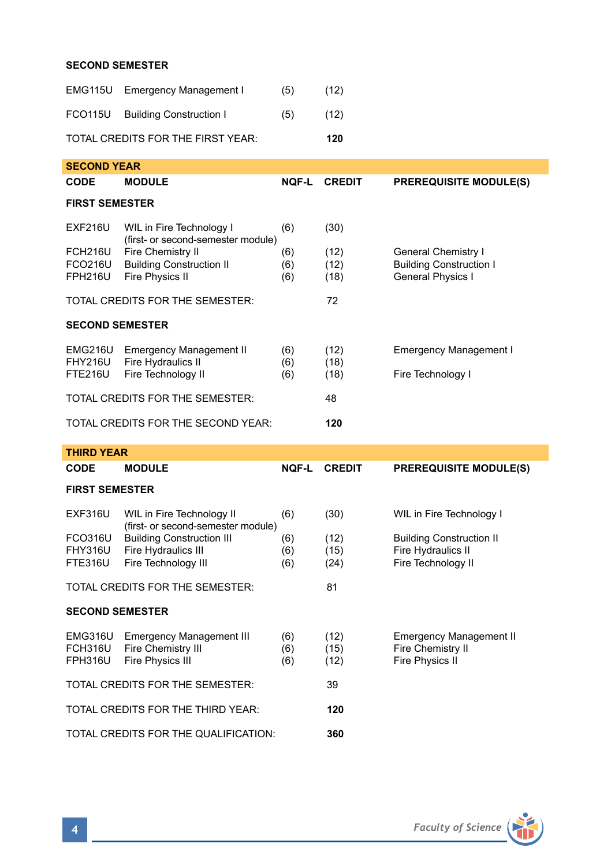# **SECOND SEMESTER**

|                                          | EMG115U Emergency Management I  | (5) | (12) |  |
|------------------------------------------|---------------------------------|-----|------|--|
|                                          | FCO115U Building Construction I | (5) | (12) |  |
| TOTAL CREDITS FOR THE FIRST YEAR:<br>120 |                                 |     |      |  |

| <b>SECOND YEAR</b>                    |                                                                |              |               |                                |  |
|---------------------------------------|----------------------------------------------------------------|--------------|---------------|--------------------------------|--|
| <b>CODE</b>                           | <b>MODULE</b>                                                  | <b>NOF-L</b> | <b>CREDIT</b> | <b>PREREQUISITE MODULE(S)</b>  |  |
| <b>FIRST SEMESTER</b>                 |                                                                |              |               |                                |  |
| EXF216U                               | WIL in Fire Technology I<br>(first- or second-semester module) | (6)          | (30)          |                                |  |
| FCH216U                               | Fire Chemistry II                                              | (6)          | (12)          | General Chemistry I            |  |
| <b>FCO216U</b>                        | <b>Building Construction II</b>                                | (6)          | (12)          | <b>Building Construction I</b> |  |
| <b>FPH216U</b>                        | Fire Physics II                                                | (6)          | (18)          | <b>General Physics I</b>       |  |
| TOTAL CREDITS FOR THE SEMESTER:<br>72 |                                                                |              |               |                                |  |
| <b>SECOND SEMESTER</b>                |                                                                |              |               |                                |  |
| EMG216U<br><b>FHY216U</b>             | Emergency Management II<br>Fire Hydraulics II                  | (6)<br>(6)   | (12)<br>(18)  | <b>Emergency Management I</b>  |  |
| <b>FTE216U</b>                        | Fire Technology II                                             | (6)          | (18)          | Fire Technology I              |  |
|                                       | TOTAL CREDITS FOR THE SEMESTER:                                |              | 48            |                                |  |
|                                       | TOTAL CREDITS FOR THE SECOND YEAR:                             | 120          |               |                                |  |

| <b>THIRD YEAR</b>                     |                                                                                |                   |                      |                                                                             |  |  |
|---------------------------------------|--------------------------------------------------------------------------------|-------------------|----------------------|-----------------------------------------------------------------------------|--|--|
| <b>CODE</b>                           | <b>MODULE</b>                                                                  | NOF-L             | <b>CREDIT</b>        | <b>PREREQUISITE MODULE(S)</b>                                               |  |  |
| <b>FIRST SEMESTER</b>                 |                                                                                |                   |                      |                                                                             |  |  |
| <b>EXF316U</b>                        | WIL in Fire Technology II<br>(first- or second-semester module)                | (6)               | (30)                 | WIL in Fire Technology I                                                    |  |  |
| FCO316U<br><b>FHY316U</b><br>FTE316U  | <b>Building Construction III</b><br>Fire Hydraulics III<br>Fire Technology III | (6)<br>(6)<br>(6) | (12)<br>(15)<br>(24) | <b>Building Construction II</b><br>Fire Hydraulics II<br>Fire Technology II |  |  |
| TOTAL CREDITS FOR THE SEMESTER:<br>81 |                                                                                |                   |                      |                                                                             |  |  |
| <b>SECOND SEMESTER</b>                |                                                                                |                   |                      |                                                                             |  |  |
| EMG316U<br>FCH316U<br><b>FPH316U</b>  | <b>Emergency Management III</b><br>Fire Chemistry III<br>Fire Physics III      | (6)<br>(6)<br>(6) | (12)<br>(15)<br>(12) | <b>Emergency Management II</b><br>Fire Chemistry II<br>Fire Physics II      |  |  |
| TOTAL CREDITS FOR THE SEMESTER:       |                                                                                |                   | 39                   |                                                                             |  |  |
|                                       | TOTAL CREDITS FOR THE THIRD YEAR:                                              | 120               |                      |                                                                             |  |  |
|                                       | TOTAL CREDITS FOR THE QUALIFICATION:                                           | 360               |                      |                                                                             |  |  |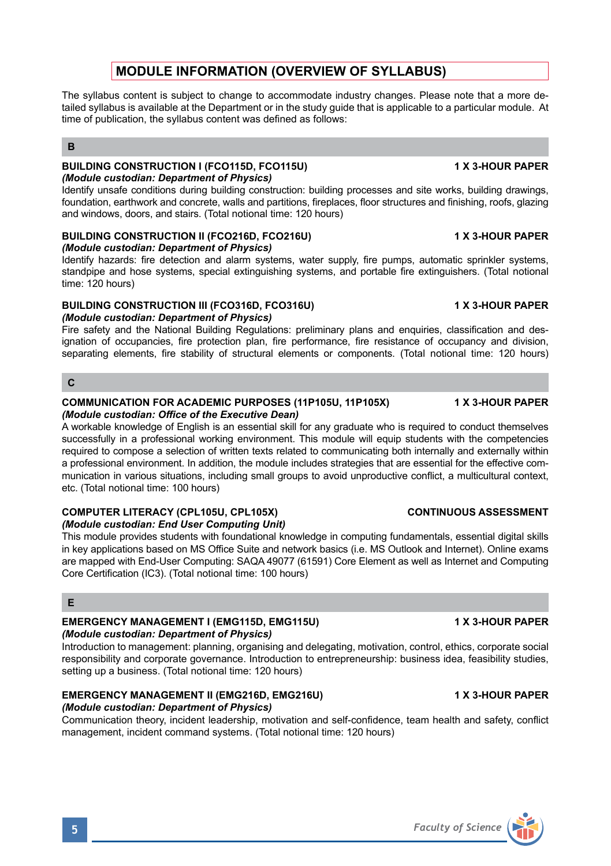# **MODULE INFORMATION (OVERVIEW OF SYLLABUS)**

The syllabus content is subject to change to accommodate industry changes. Please note that a more detailed syllabus is available at the Department or in the study guide that is applicable to a particular module. At time of publication, the syllabus content was defined as follows:

# **B**

### **BUILDING CONSTRUCTION I (FCO115D, FCO115U) 1 X 3-HOUR PAPER** *(Module custodian: Department of Physics)*

Identify unsafe conditions during building construction: building processes and site works, building drawings, foundation, earthwork and concrete, walls and partitions, fireplaces, floor structures and finishing, roofs, glazing and windows, doors, and stairs. (Total notional time: 120 hours)

# **BUILDING CONSTRUCTION II (FCO216D, FCO216U) 1 X 3-HOUR PAPER**

*(Module custodian: Department of Physics)* Identify hazards: fire detection and alarm systems, water supply, fire pumps, automatic sprinkler systems, standpipe and hose systems, special extinguishing systems, and portable fire extinguishers. (Total notional time: 120 hours)

# **BUILDING CONSTRUCTION III (FCO316D, FCO316U) 1 X 3-HOUR PAPER**

# *(Module custodian: Department of Physics)*

Fire safety and the National Building Regulations: preliminary plans and enquiries, classification and designation of occupancies, fire protection plan, fire performance, fire resistance of occupancy and division, separating elements, fire stability of structural elements or components. (Total notional time: 120 hours)

# **C**

## **COMMUNICATION FOR ACADEMIC PURPOSES (11P105U, 11P105X) 1X 3-HOUR PAPER** *(Module custodian: Office of the Executive Dean)*

A workable knowledge of English is an essential skill for any graduate who is required to conduct themselves successfully in a professional working environment. This module will equip students with the competencies required to compose a selection of written texts related to communicating both internally and externally within a professional environment. In addition, the module includes strategies that are essential for the effective communication in various situations, including small groups to avoid unproductive conflict, a multicultural context, etc. (Total notional time: 100 hours)

# **COMPUTER LITERACY (CPL105U, CPL105X) CONTINUOUS ASSESSMENT**

*(Module custodian: End User Computing Unit)* 

This module provides students with foundational knowledge in computing fundamentals, essential digital skills in key applications based on MS Office Suite and network basics (i.e. MS Outlook and Internet). Online exams are mapped with End-User Computing: SAQA 49077 (61591) Core Element as well as Internet and Computing Core Certification (IC3). (Total notional time: 100 hours)

# **E**

# **EMERGENCY MANAGEMENT I (EMG115D, EMG115U) 1 X 3-HOUR PAPER**

# *(Module custodian: Department of Physics)*

Introduction to management: planning, organising and delegating, motivation, control, ethics, corporate social responsibility and corporate governance. Introduction to entrepreneurship: business idea, feasibility studies, setting up a business. (Total notional time: 120 hours)

# **EMERGENCY MANAGEMENT II (EMG216D, EMG216U) 1 X 3-HOUR PAPER**

## *(Module custodian: Department of Physics)*

Communication theory, incident leadership, motivation and self-confidence, team health and safety, conflict management, incident command systems. (Total notional time: 120 hours)

**5** *Faculty of Science*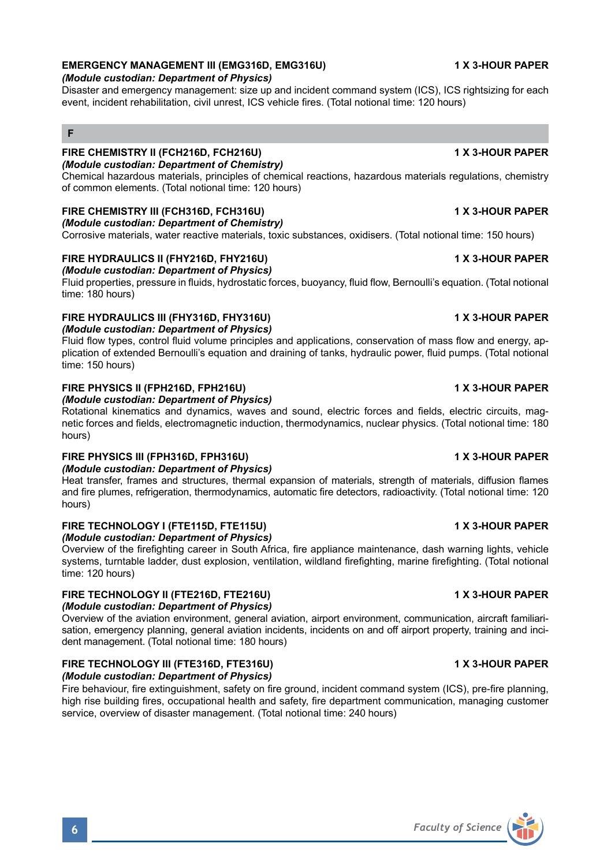# **EMERGENCY MANAGEMENT III (EMG316D, EMG316U) 1 X 3-HOUR PAPER**

### *(Module custodian: Department of Physics)*

Disaster and emergency management: size up and incident command system (ICS), ICS rightsizing for each event, incident rehabilitation, civil unrest, ICS vehicle fires. (Total notional time: 120 hours)

# **F**

# **FIRE CHEMISTRY II (FCH216D, FCH216U) 1 X 3-HOUR PAPER**

*(Module custodian: Department of Chemistry)*

Chemical hazardous materials, principles of chemical reactions, hazardous materials regulations, chemistry of common elements. (Total notional time: 120 hours)

# **FIRE CHEMISTRY III (FCH316D, FCH316U) 1 X 3-HOUR PAPER**

*(Module custodian: Department of Chemistry)* Corrosive materials, water reactive materials, toxic substances, oxidisers. (Total notional time: 150 hours)

# FIRE HYDRAULICS II (FHY216D, FHY216U) 1X 3-HOUR PAPER

*(Module custodian: Department of Physics)* Fluid properties, pressure in fluids, hydrostatic forces, buoyancy, fluid flow, Bernoulli's equation. (Total notional time: 180 hours)

### **FIRE HYDRAULICS III (FHY316D, FHY316U) 1 X 3-HOUR PAPER** *(Module custodian: Department of Physics)*

Fluid flow types, control fluid volume principles and applications, conservation of mass flow and energy, application of extended Bernoulli's equation and draining of tanks, hydraulic power, fluid pumps. (Total notional time: 150 hours)

### **FIRE PHYSICS II (FPH216D, FPH216U) 1 X 3-HOUR PAPER**

*(Module custodian: Department of Physics)*

Rotational kinematics and dynamics, waves and sound, electric forces and fields, electric circuits, magnetic forces and fields, electromagnetic induction, thermodynamics, nuclear physics. (Total notional time: 180 hours)

## **FIRE PHYSICS III (FPH316D, FPH316U) 1 X 3-HOUR PAPER**

*(Module custodian: Department of Physics)*

Heat transfer, frames and structures, thermal expansion of materials, strength of materials, diffusion flames and fire plumes, refrigeration, thermodynamics, automatic fire detectors, radioactivity. (Total notional time: 120 hours)

### **FIRE TECHNOLOGY I (FTE115D, FTE115U) 1 X 3-HOUR PAPER** *(Module custodian: Department of Physics)*

Overview of the firefighting career in South Africa, fire appliance maintenance, dash warning lights, vehicle systems, turntable ladder, dust explosion, ventilation, wildland firefighting, marine firefighting. (Total notional time: 120 hours)

# **FIRE TECHNOLOGY II (FTE216D, FTE216U) 1 X 3-HOUR PAPER**

*(Module custodian: Department of Physics)*

Overview of the aviation environment, general aviation, airport environment, communication, aircraft familiarisation, emergency planning, general aviation incidents, incidents on and off airport property, training and incident management. (Total notional time: 180 hours)

# **FIRE TECHNOLOGY III (FTE316D, FTE316U) 1 X 3-HOUR PAPER**

# *(Module custodian: Department of Physics)*

Fire behaviour, fire extinguishment, safety on fire ground, incident command system (ICS), pre-fire planning, high rise building fires, occupational health and safety, fire department communication, managing customer service, overview of disaster management. (Total notional time: 240 hours)